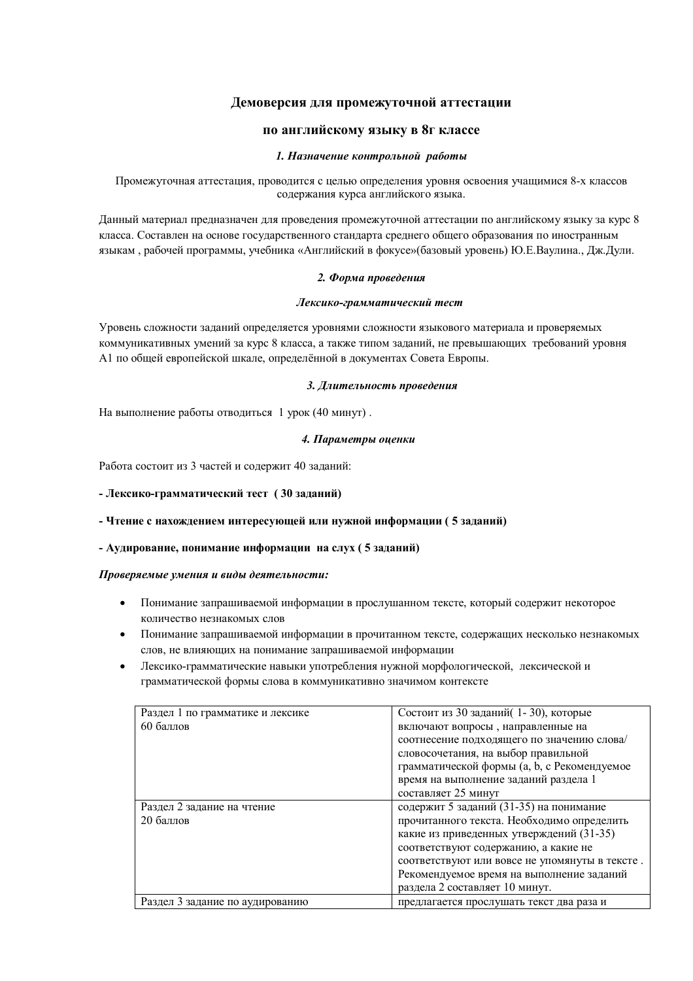## **Демоверсия для промежуточной аттестации**

## **по английскому языку в 8г классе**

#### *1. Назначение контрольной работы*

Промежуточная аттестация, проводится с целью определения уровня освоения учащимися 8-х классов содержания курса английского языка.

Данный материал предназначен для проведения промежуточной аттестации по английскому языку за курс 8 класса. Составлен на основе государственного стандарта среднего общего образования по иностранным языкам , рабочей программы, учебника «Английский в фокусе»(базовый уровень) Ю.Е.Ваулина., Дж.Дули.

#### *2. Форма проведения*

#### *Лексико-грамматический тест*

Уровень сложности заданий определяется уровнями сложности языкового материала и проверяемых коммуникативных умений за курс 8 класса, а также типом заданий, не превышающих требований уровня А1 по общей европейской шкале, определённой в документах Совета Европы.

#### *3. Длительность проведения*

На выполнение работы отводиться 1 урок (40 минут) .

#### *4. Параметры оценки*

Работа состоит из 3 частей и содержит 40 заданий:

## **- Лексико-грамматический тест ( 30 заданий)**

**- Чтение с нахождением интересующей или нужной информации ( 5 заданий)**

## **- Аудирование, понимание информации на слух ( 5 заданий)**

#### *Проверяемые умения и виды деятельности:*

- Понимание запрашиваемой информации в прослушанном тексте, который содержит некоторое количество незнакомых слов
- Понимание запрашиваемой информации в прочитанном тексте, содержащих несколько незнакомых слов, не влияющих на понимание запрашиваемой информации
- Лексико-грамматические навыки употребления нужной морфологической, лексической и грамматической формы слова в коммуникативно значимом контексте

| Раздел 1 по грамматике и лексике | Состоит из 30 заданий (1-30), которые          |  |
|----------------------------------|------------------------------------------------|--|
| 60 баллов                        | включают вопросы, направленные на              |  |
|                                  | соотнесение подходящего по значению слова/     |  |
|                                  | словосочетания, на выбор правильной            |  |
|                                  | грамматической формы (а, b, с Рекомендуемое    |  |
|                                  | время на выполнение заданий раздела 1          |  |
|                                  | составляет 25 минут                            |  |
| Раздел 2 задание на чтение       | содержит 5 заданий (31-35) на понимание        |  |
| 20 баллов                        | прочитанного текста. Необходимо определить     |  |
|                                  | какие из приведенных утверждений (31-35)       |  |
|                                  | соответствуют содержанию, а какие не           |  |
|                                  | соответствуют или вовсе не упомянуты в тексте. |  |
|                                  | Рекомендуемое время на выполнение заданий      |  |
|                                  | раздела 2 составляет 10 минут.                 |  |
| Раздел 3 задание по аудированию  | предлагается прослушать текст два раза и       |  |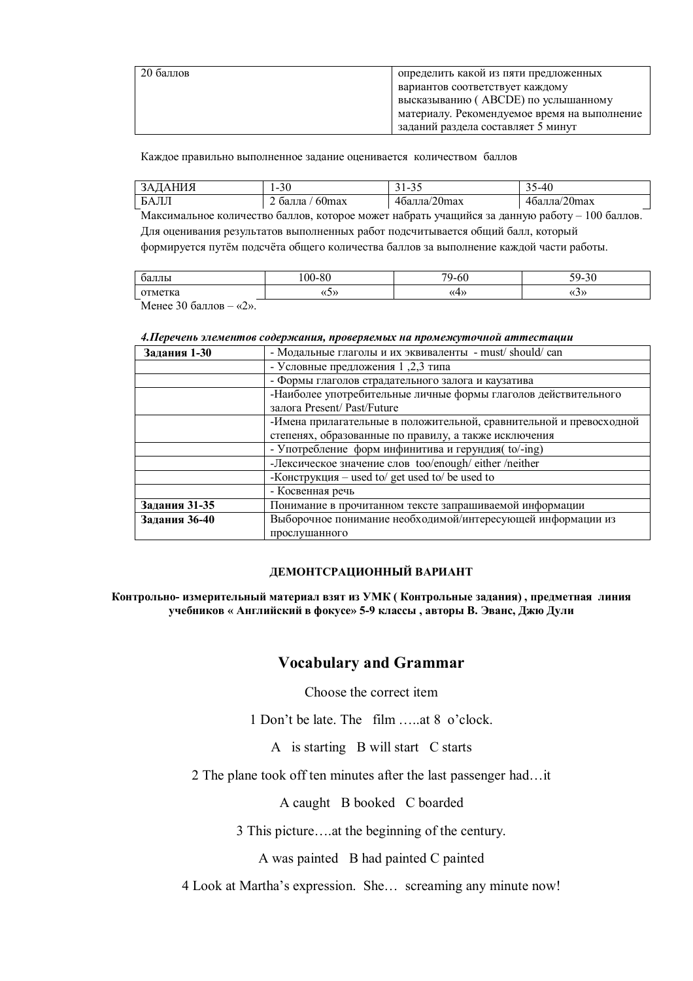| 20 баллов | определить какой из пяти предложенных        |
|-----------|----------------------------------------------|
|           | вариантов соответствует каждому              |
|           | высказыванию (АВСОЕ) по услышанному          |
|           | материалу. Рекомендуемое время на выполнение |
|           | заданий раздела составляет 5 минут           |
|           |                                              |

Каждое правильно выполненное задание оценивается количеством баллов

| ЗАДАНИЯ | -30<br>$\overline{\phantom{a}}$ | . .<br>ل ر<br>ັ | 5-40         |
|---------|---------------------------------|-----------------|--------------|
| БАЛЛ    | 60 <sub>max</sub><br>балла      | 4балла/20max    | 4балла/20max |

Максимальное количество баллов, которое может набрать учащийся за данную работу – 100 баллов. Для оценивания результатов выполненных работ подсчитывается общий балл, который формируется путём подсчёта общего количества баллов за выполнение каждой части работы.

| оаллы                          | $100 - 80$ | $\sim$<br>70<br>`-6∪<br>ີບ. | $-\alpha$<br>$\Omega$<br>่∙ฯ-<br>·JU |
|--------------------------------|------------|-----------------------------|--------------------------------------|
| отметка                        | くいか        |                             | (J)                                  |
| $\sim$ $\sim$<br>. .<br>$\sim$ |            |                             |                                      |

Менее 30 баллов  $-\kappa 2$ ».

## *4.Перечень элементов содержания, проверяемых на промежуточной аттестации*

| Задания 1-30  | - Модальные глаголы и их эквиваленты - must/should/can              |
|---------------|---------------------------------------------------------------------|
|               | - Условные предложения 1,2,3 типа                                   |
|               | - Формы глаголов страдательного залога и каузатива                  |
|               | -Наиболее употребительные личные формы глаголов действительного     |
|               | залога Present/ Past/Future                                         |
|               | -Имена прилагательные в положительной, сравнительной и превосходной |
|               | степенях, образованные по правилу, а также исключения               |
|               | - Употребление форм инфинитива и герундия(to/-ing)                  |
|               | -Лексическое значение слов too/enough/ either /neither              |
|               | -Конструкция – used to/ get used to/ be used to                     |
|               | - Косвенная речь                                                    |
| Задания 31-35 | Понимание в прочитанном тексте запрашиваемой информации             |
| Задания 36-40 | Выборочное понимание необходимой/интересующей информации из         |
|               | прослушанного                                                       |

## **ДЕМОНТСРАЦИОННЫЙ ВАРИАНТ**

**Контрольно- измерительный материал взят из УМК ( Контрольные задания) , предметная линия учебников « Английский в фокусе» 5-9 классы , авторы В. Эванс, Джю Дули**

## **Vocabulary and Grammar**

Choose the correct item

1 Don't be late. The film …..at 8 o'clock.

A is starting B will start C starts

2 The plane took off ten minutes after the last passenger had…it

A caught B booked C boarded

3 This picture….at the beginning of the century.

A was painted B had painted C painted

4 Look at Martha's expression. She… screaming any minute now!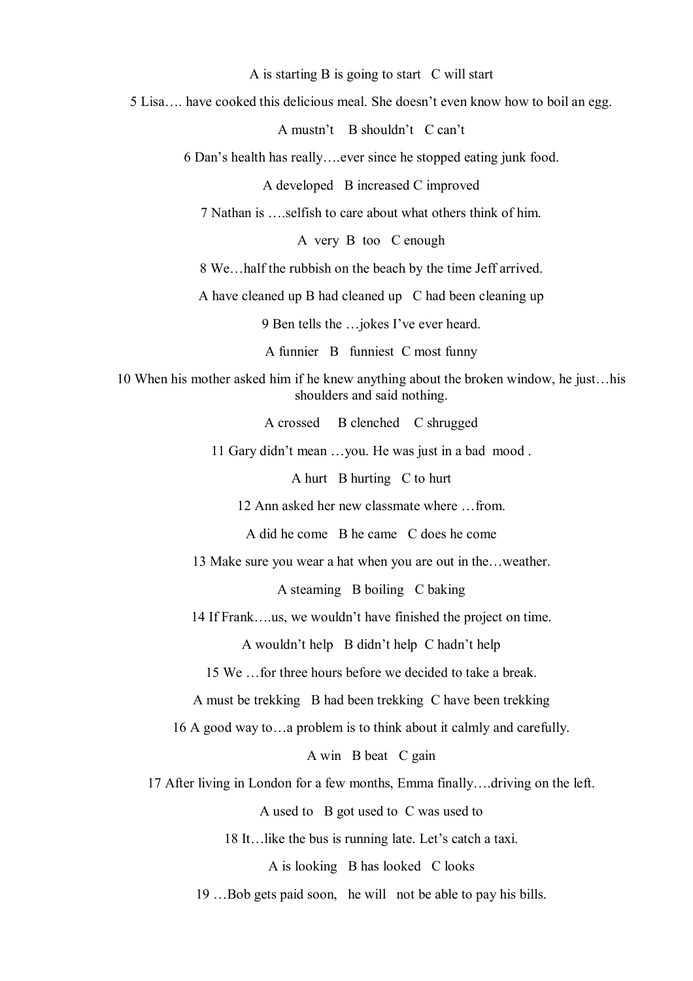A is starting B is going to start C will start

5 Lisa…. have cooked this delicious meal. She doesn't even know how to boil an egg.

A mustn't B shouldn't C can't

6 Dan's health has really….ever since he stopped eating junk food.

A developed B increased C improved

7 Nathan is <u>selfish to care about what others think</u> of him.

A very B too C enough

8 We…half the rubbish on the beach by the time Jeff arrived.

A have cleaned up B had cleaned up C had been cleaning up

9 Ben tells the …jokes I've ever heard.

A funnier B funniest C most funny

10 When his mother asked him if he knew anything about the broken window, he just…his shoulders and said nothing.

A crossed B clenched C shrugged

11 Gary didn't mean …you. He was just in a bad mood .

A hurt B hurting C to hurt

12 Ann asked her new classmate where …from.

A did he come B he came C does he come

13 Make sure you wear a hat when you are out in the…weather.

A steaming B boiling C baking

14 If Frank….us, we wouldn't have finished the project on time.

A wouldn't help B didn't help C hadn't help

15 We …for three hours before we decided to take a break.

A must be trekking B had been trekking C have been trekking

16 A good way to…a problem is to think about it calmly and carefully.

A win B beat C gain

17 After living in London for a few months, Emma finally….driving on the left.

A used to B got used to C was used to

18 It…like the bus is running late. Let's catch a taxi.

A is looking B has looked C looks

19 …Bob gets paid soon, he will not be able to pay his bills.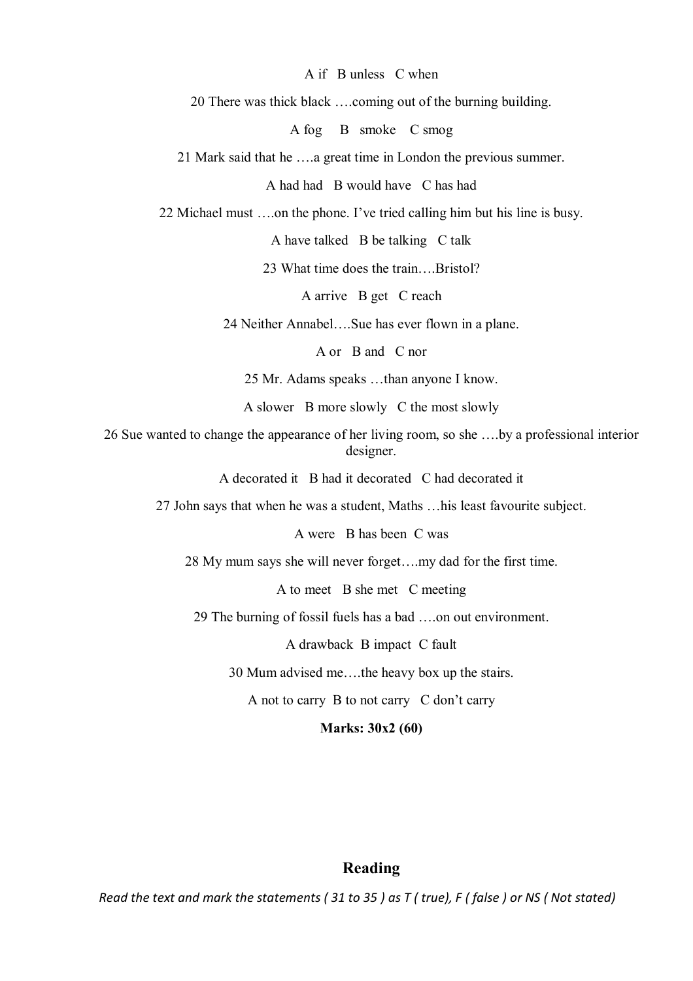A if B unless C when

20 There was thick black ….coming out of the burning building.

A fog B smoke C smog

21 Mark said that he ….a great time in London the previous summer.

A had had B would have C has had

22 Michael must ….on the phone. I've tried calling him but his line is busy.

A have talked B be talking C talk

23 What time does the train….Bristol?

A arrive B get C reach

24 Neither Annabel….Sue has ever flown in a plane.

A or B and C nor

25 Mr. Adams speaks …than anyone I know.

A slower B more slowly C the most slowly

26 Sue wanted to change the appearance of her living room, so she ….by a professional interior designer.

A decorated it B had it decorated C had decorated it

27 John says that when he was a student, Maths …his least favourite subject.

A were B has been C was

28 My mum says she will never forget….my dad for the first time.

A to meet B she met C meeting

29 The burning of fossil fuels has a bad ….on out environment.

A drawback B impact C fault

30 Mum advised me….the heavy box up the stairs.

A not to carry B to not carry C don't carry

**Marks: 30x2 (60)**

## **Reading**

*Read the text and mark the statements ( 31 to 35 ) as T ( true), F ( false ) or NS ( Not stated)*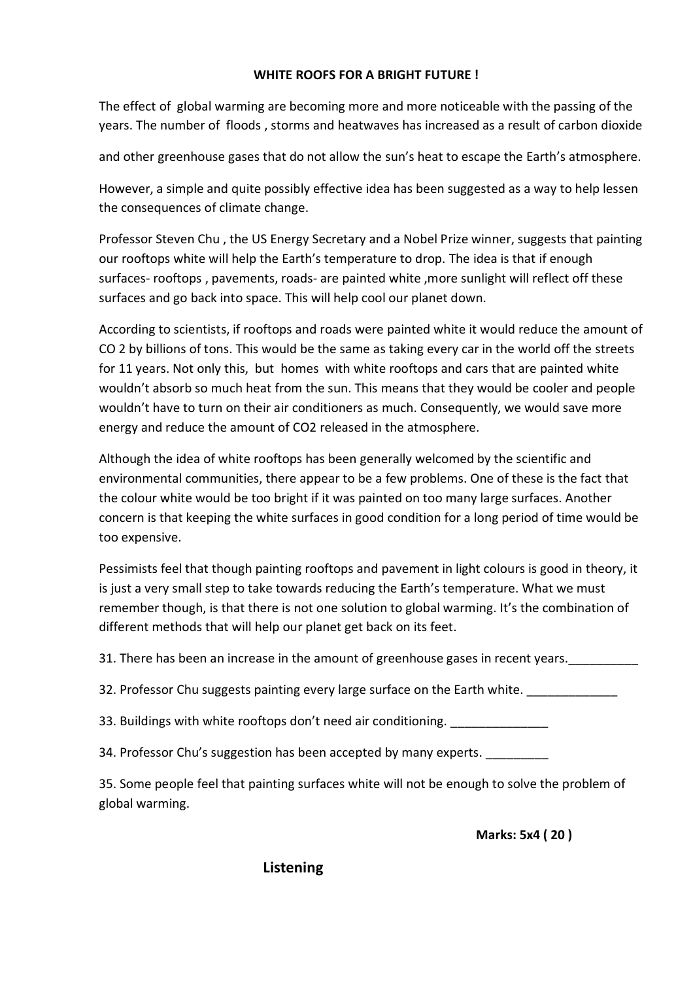# **WHITE ROOFS FOR A BRIGHT FUTURE !**

The effect of global warming are becoming more and more noticeable with the passing of the years. The number of floods , storms and heatwaves has increased as a result of carbon dioxide

and other greenhouse gases that do not allow the sun's heat to escape the Earth's atmosphere.

However, a simple and quite possibly effective idea has been suggested as a way to help lessen the consequences of climate change.

Professor Steven Chu , the US Energy Secretary and a Nobel Prize winner, suggests that painting our rooftops white will help the Earth's temperature to drop. The idea is that if enough surfaces- rooftops , pavements, roads- are painted white ,more sunlight will reflect off these surfaces and go back into space. This will help cool our planet down.

According to scientists, if rooftops and roads were painted white it would reduce the amount of CO 2 by billions of tons. This would be the same as taking every car in the world off the streets for 11 years. Not only this, but homes with white rooftops and cars that are painted white wouldn't absorb so much heat from the sun. This means that they would be cooler and people wouldn't have to turn on their air conditioners as much. Consequently, we would save more energy and reduce the amount of CO2 released in the atmosphere.

Although the idea of white rooftops has been generally welcomed by the scientific and environmental communities, there appear to be a few problems. One of these is the fact that the colour white would be too bright if it was painted on too many large surfaces. Another concern is that keeping the white surfaces in good condition for a long period of time would be too expensive.

Pessimists feel that though painting rooftops and pavement in light colours is good in theory, it is just a very small step to take towards reducing the Earth's temperature. What we must remember though, is that there is not one solution to global warming. It's the combination of different methods that will help our planet get back on its feet.

31. There has been an increase in the amount of greenhouse gases in recent years.

32. Professor Chu suggests painting every large surface on the Earth white. \_\_\_\_\_\_\_\_\_

33. Buildings with white rooftops don't need air conditioning.

34. Professor Chu's suggestion has been accepted by many experts.

35. Some people feel that painting surfaces white will not be enough to solve the problem of global warming.

**Marks: 5x4 ( 20 )**

**Listening**